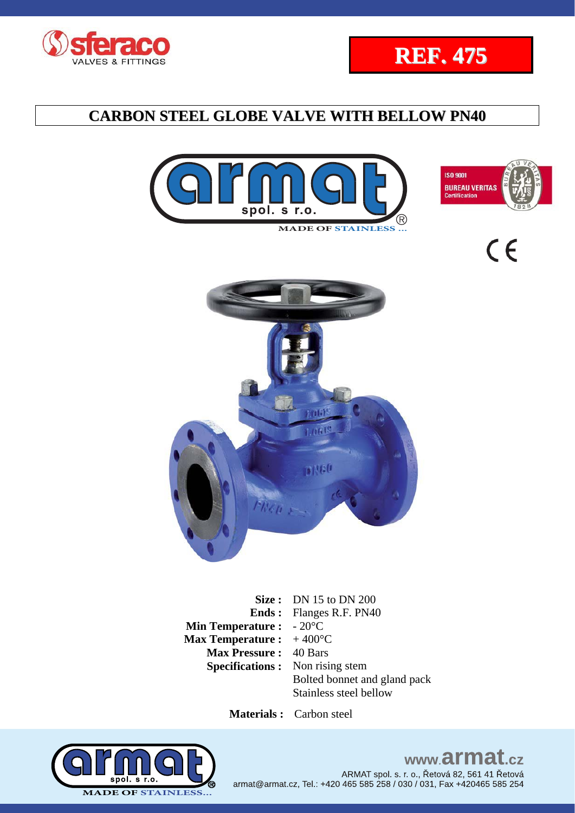







 $\epsilon$ 

NAC

**Size :** DN 15 to DN 200 **Ends :**  Flanges R.F. PN40 **Min Temperature :**  - 20°C **Max Temperature :**  + 400°C **Max Pressure :** 40 Bars **Specifications :** Non rising stem Bolted bonnet and gland pack Stainless steel bellow

 **Materials :** Carbon steel

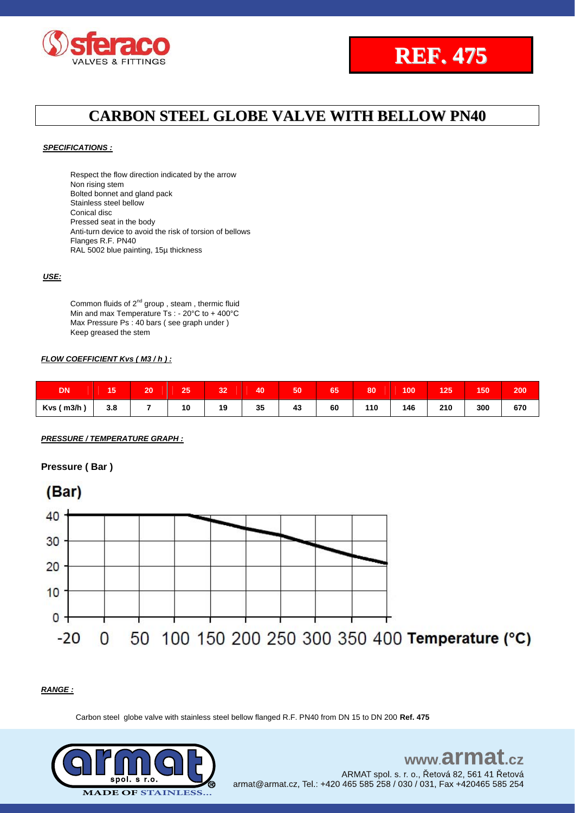



#### *SPECIFICATIONS :*

Respect the flow direction indicated by the arrow Non rising stem Bolted bonnet and gland pack Stainless steel bellow Conical disc Pressed seat in the body Anti-turn device to avoid the risk of torsion of bellows Flanges R.F. PN40 RAL 5002 blue painting, 15µ thickness

#### *USE:*

Common fluids of  $2^{nd}$  group, steam, thermic fluid Min and max Temperature Ts : - 20°C to + 400°C Max Pressure Ps : 40 bars ( see graph under ) Keep greased the stem

#### *FLOW COEFFICIENT Kvs ( M3 / h ) :*

| <b>DN</b>  | <b>A P</b><br>∽<br>∪י | 20 | 25 | 32 | 40 | 50 | 65 | 80  | 100 | 125                                | 150 | 200 |
|------------|-----------------------|----|----|----|----|----|----|-----|-----|------------------------------------|-----|-----|
| Kvs ( m3/h | 3.8                   |    | 10 | 19 | 35 | 43 | 60 | 110 | 146 | 210<br>and the control of the con- | 300 | 670 |

*PRESSURE / TEMPERATURE GRAPH :*

#### **Pressure ( Bar )**



#### *RANGE :*

Carbon steel globe valve with stainless steel bellow flanged R.F. PN40 from DN 15 to DN 200 **Ref. 475**

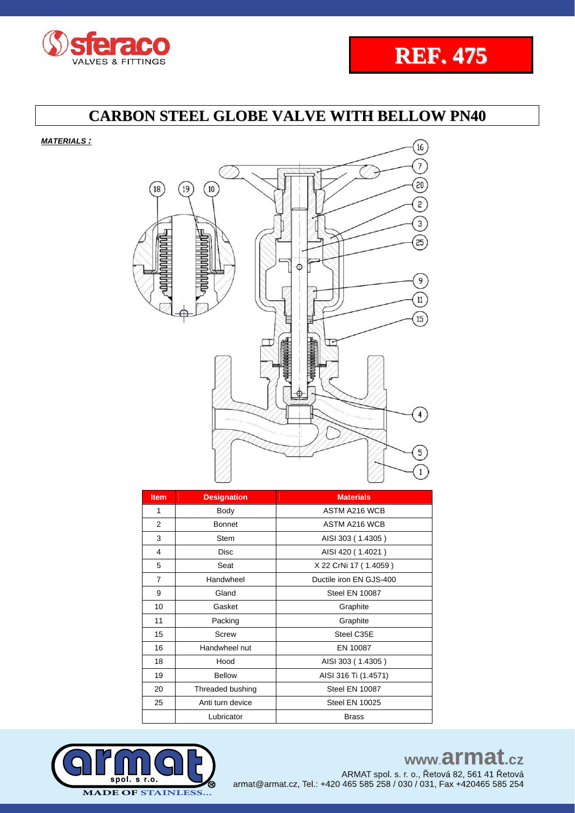



*MATERIALS :*



| <b>Item</b>    | <b>Designation</b> | <b>Materials</b>        |
|----------------|--------------------|-------------------------|
| 1              | Body               | ASTM A216 WCB           |
| 2              | <b>Bonnet</b>      | ASTM A216 WCB           |
| 3              | <b>Stem</b>        | AISI 303 (1.4305)       |
| 4              | <b>Disc</b>        | AISI 420 (1.4021)       |
| 5              | Seat               | X 22 CrNi 17 (1.4059)   |
| $\overline{7}$ | Handwheel          | Ductile iron EN GJS-400 |
| 9              | Gland              | <b>Steel EN 10087</b>   |
| 10             | Gasket             | Graphite                |
| 11             | Packing            | Graphite                |
| 15             | Screw              | Steel C35E              |
| 16             | Handwheel nut      | EN 10087                |
| 18             | Hood               | AISI 303 (1.4305)       |
| 19             | <b>Bellow</b>      | AISI 316 Ti (1.4571)    |
| 20             | Threaded bushing   | <b>Steel EN 10087</b>   |
| 25             | Anti turn device   | <b>Steel EN 10025</b>   |
|                | Lubricator         | <b>Brass</b>            |



www.armat.cz ARMAT spol. s. r. o., Řetová 82, 561 41 Řetová armat@armat.cz, Tel.: +420 465 585 258 / 030 / 031, Fax +420465 585 254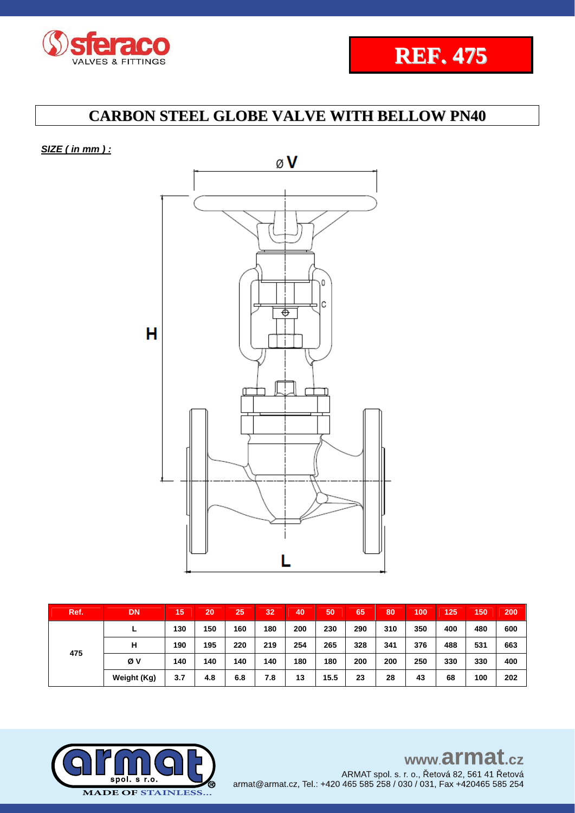



*SIZE ( in mm ) :* 



| Ref. | <b>DN</b>   | 15  | 20  | 25  | 32  | 40  | 50   | 65  | 80  | 100 | 125 | 150 | 200 |
|------|-------------|-----|-----|-----|-----|-----|------|-----|-----|-----|-----|-----|-----|
| 475  | -           | 130 | 150 | 160 | 180 | 200 | 230  | 290 | 310 | 350 | 400 | 480 | 600 |
|      | н           | 190 | 195 | 220 | 219 | 254 | 265  | 328 | 341 | 376 | 488 | 531 | 663 |
|      | Øν          | 140 | 140 | 140 | 140 | 180 | 180  | 200 | 200 | 250 | 330 | 330 | 400 |
|      | Weight (Kg) | 3.7 | 4.8 | 6.8 | 7.8 | 13  | 15.5 | 23  | 28  | 43  | 68  | 100 | 202 |

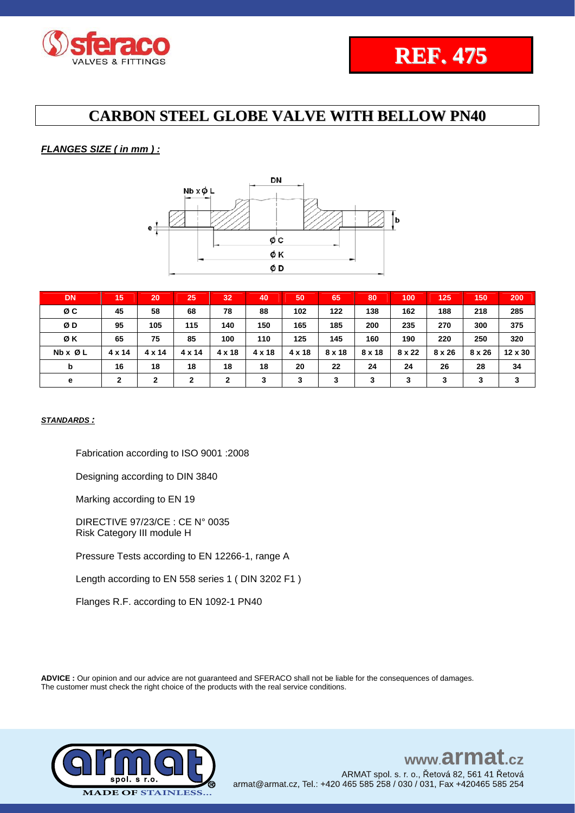

### *FLANGES SIZE ( in mm ) :*



| <b>DN</b> | 15           | 20     | 25            | 32            | 40            | 50     | 65     | 80     | 100    | 125    | 150           | 200     |
|-----------|--------------|--------|---------------|---------------|---------------|--------|--------|--------|--------|--------|---------------|---------|
| ØC        | 45           | 58     | 68            | 78            | 88            | 102    | 122    | 138    | 162    | 188    | 218           | 285     |
| ØD        | 95           | 105    | 115           | 140           | 150           | 165    | 185    | 200    | 235    | 270    | 300           | 375     |
| ØK        | 65           | 75     | 85            | 100           | 110           | 125    | 145    | 160    | 190    | 220    | 250           | 320     |
| Nb x Ø L  | 4 x 14       | 4 x 14 | $4 \times 14$ | $4 \times 18$ | $4 \times 18$ | 4 x 18 | 8 x 18 | 8 x 18 | 8 x 22 | 8 x 26 | $8 \times 26$ | 12 x 30 |
| b         | 16           | 18     | 18            | 18            | 18            | 20     | 22     | 24     | 24     | 26     | 28            | 34      |
| е         | $\mathbf{2}$ | 2      | $\mathbf{2}$  | $\mathbf{2}$  | 3             | 3      | 3      | 3      | 3      | 3      | 3             | 3       |

### *STANDARDS :*

Fabrication according to ISO 9001 :2008

Designing according to DIN 3840

Marking according to EN 19

DIRECTIVE 97/23/CE : CE N° 0035 Risk Category III module H

Pressure Tests according to EN 12266-1, range A

Length according to EN 558 series 1 ( DIN 3202 F1 )

Flanges R.F. according to EN 1092-1 PN40

**ADVICE :** Our opinion and our advice are not guaranteed and SFERACO shall not be liable for the consequences of damages. The customer must check the right choice of the products with the real service conditions.



#### www.armat  $c\overline{z}$ ARMAT spol. s. r. o., Řetová 82, 561 41 Řetová armat@armat.cz, Tel.: +420 465 585 258 / 030 / 031, Fax +420465 585 254